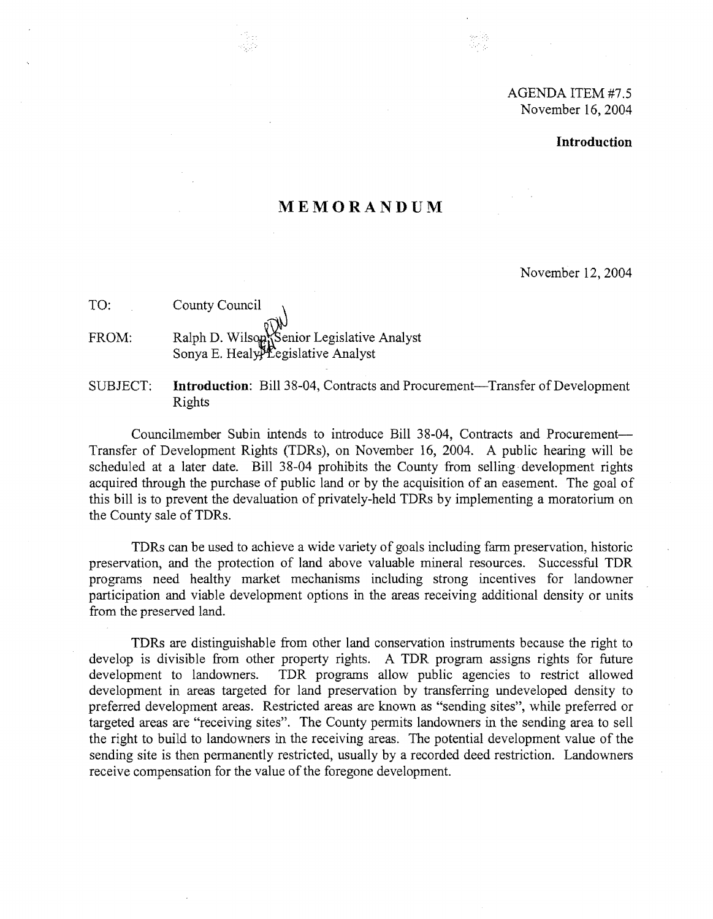# AGENDA ITEM #7.5 November 16, 2004

#### **Introduction**

# **MEMORANDUM**

November 12,2004

TO: County Council

FROM: Ralph D. Wilson Legislative Analyst Sonya E. Healy $P$ Eegislative Analyst

SUBJECT: **Introduction**: Bill 38-04, Contracts and Procurement-Transfer of Development Rights

Councilmember Subin intends to introduce Bill 38-04, Contracts and Procurement-Transfer of Development Rights (TDRs) , on November 16, 2004. A public hearing will be scheduled at a later date. Bill 38-04 prohibits the County from selling· development rights acquired through the purchase of public land or by the acquisition of an easement. The goal of this bill is to prevent the devaluation of privately-held TDRs by implementing a moratorium on the County sale of TDRs.

TDRs can be used to achieve a wide variety of goals including farm preservation, historic preservation, and the protection of land above valuable mineral resources. Successful TDR programs need healthy market mechanisms including strong incentives for landowner participation and viable development options in the areas receiving additional density or units from the preserved land.

TDRs are distinguishable from other land conservation instruments because the right to develop is divisible from other property rights. A TDR program assigns rights for future development to landowners. TDR programs allow public agencies to restrict allowed development in areas targeted for land preservation by transferring undeveloped density to preferred development areas. Restricted areas are known as "sending sites", while preferred or targeted areas are "receiving sites". The County permits landowners in the sending area to sell the right to build to landowners in the receiving areas. The potential development value of the sending site is then permanently restricted, usually by a recorded deed restriction. Landowners receive compensation for the value of the foregone development.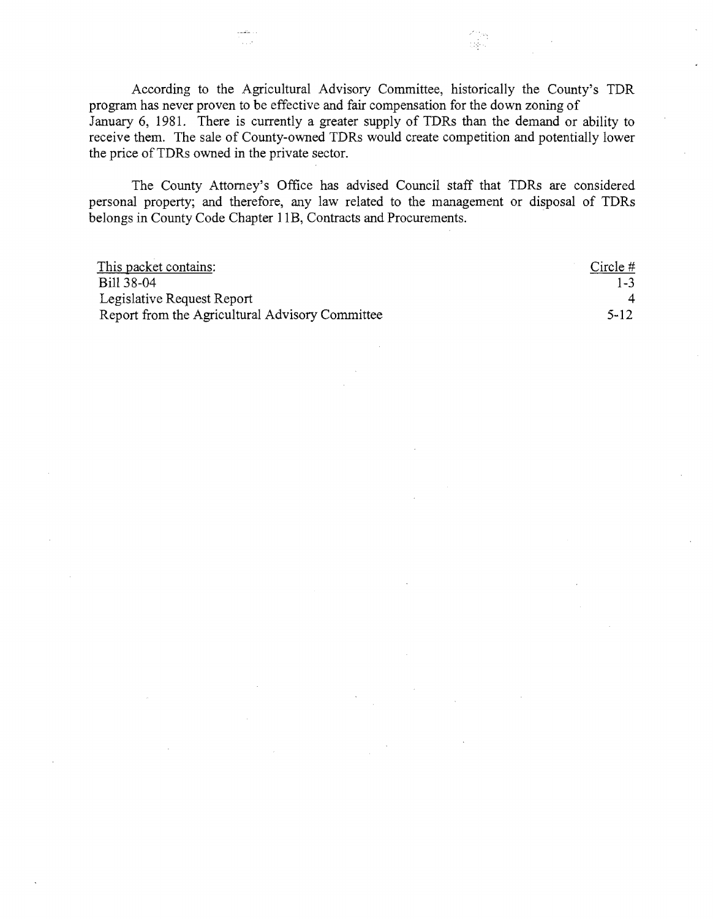According to the Agricultural Advisory Committee, historically the County's TDR program has never proven to be effective and fair compensation for the down zoning of January 6, 1981. There is currently a greater supply of TDRs than the demand or ability to receive them. The sale of County-owned TDRs would create competition and potentially lower the price of TDRs owned in the private sector.

:로시

The County Attorney's Office has advised Council staff that TDRs are considered personal property; and therefore, any law related to the management or disposal of TDRs belongs in County Code Chapter 11B, Contracts and Procurements.

| This packet contains:                           | Circle $#$ |
|-------------------------------------------------|------------|
| Bill 38-04                                      | $1 - 3$    |
| Legislative Request Report                      |            |
| Report from the Agricultural Advisory Committee | $5 - 12$   |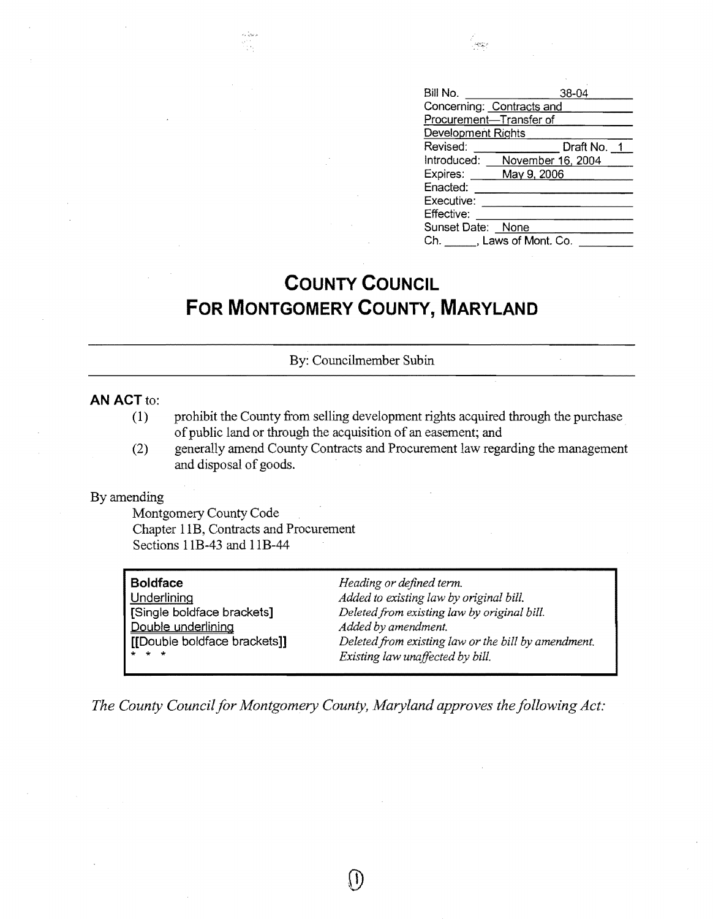| Bill No.                  | 38-04             |
|---------------------------|-------------------|
| Concerning: Contracts and |                   |
| Procurement-Transfer of   |                   |
| Development Rights        |                   |
| Revised:                  | Draft No. 1       |
| Introduced:               | November 16, 2004 |
| Expires:                  | May 9, 2006       |
| Enacted:                  |                   |
| Executive:                |                   |
| Effective:                |                   |
| Sunset Date:              | None              |
| Ch. J. Laws of Mont. Co.  |                   |

 $\omega_{\mathcal{M}}$ 

# **COUNTY COUNCIL FOR MONTGOMERY COUNTY, MARYLAND**

#### By: Councilmember Subin

### **AN ACT to:**

- (1) prohibit the County from selling development rights acquired through the purchase of public land or through the acquisition of an easement; and
- (2) generally amend County Contracts and Procurement law regarding the management and disposal of goods.

#### By amending

Montgomery County Code Chapter lIB, Contracts and Procurement Sections 11B-43 and IlB-44

| Boldfac |  |
|---------|--|
|---------|--|

Double underlining *Added by amendment.* 

**Boldface** *Heading or defined term.*  Underlining *Added to existing law by original bill.*  [Single boldface brackets] *Deletedfrom existing law by original bill.*  Deleted from existing law or the bill by amendment.  $Existing$  law unaffected by bill.

*The County Council for Montgomery County, Maryland approves the following Act:* 

 $\left( \,1\right)$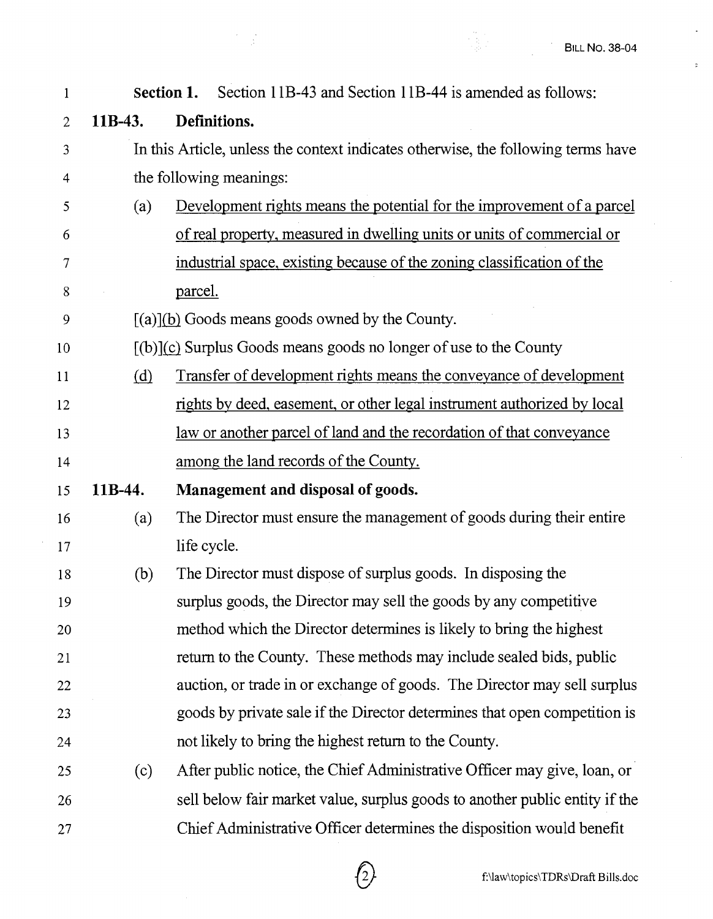**()** 

 $\overline{a}$ 

 $\ddot{\rm s}$ 

 $\bar{z}$ 

| $\mathbf{1}$   |         | <b>Section 1.</b> Section 11B-43 and Section 11B-44 is amended as follows:        |
|----------------|---------|-----------------------------------------------------------------------------------|
| $\overline{2}$ | 11B-43. | Definitions.                                                                      |
| $\mathfrak{Z}$ |         | In this Article, unless the context indicates otherwise, the following terms have |
| $\overline{4}$ |         | the following meanings:                                                           |
| 5              | (a)     | Development rights means the potential for the improvement of a parcel            |
| 6              |         | of real property, measured in dwelling units or units of commercial or            |
| 7              |         | industrial space, existing because of the zoning classification of the            |
| 8              |         | parcel.                                                                           |
| 9              |         | $[(a)](b)$ Goods means goods owned by the County.                                 |
| 10             |         | $[(b)](c)$ Surplus Goods means goods no longer of use to the County               |
| 11             | (d)     | <u>Transfer of development rights means the conveyance of development</u>         |
| 12             |         | rights by deed, easement, or other legal instrument authorized by local           |
| 13             |         | <u>law or another parcel of land and the recordation of that conveyance</u>       |
| 14             |         | among the land records of the County.                                             |
| 15             | 11B-44. | Management and disposal of goods.                                                 |
| 16             | (a)     | The Director must ensure the management of goods during their entire              |
| 17             |         | life cycle.                                                                       |
| 18             | (b)     | The Director must dispose of surplus goods. In disposing the                      |
| 19             |         | surplus goods, the Director may sell the goods by any competitive                 |
| 20             |         | method which the Director determines is likely to bring the highest               |
| 21             |         | return to the County. These methods may include sealed bids, public               |
| 22             |         | auction, or trade in or exchange of goods. The Director may sell surplus          |
| 23             |         | goods by private sale if the Director determines that open competition is         |
| 24             |         | not likely to bring the highest return to the County.                             |
| 25             | (c)     | After public notice, the Chief Administrative Officer may give, loan, or          |
| 26             |         | sell below fair market value, surplus goods to another public entity if the       |
| 27             |         | Chief Administrative Officer determines the disposition would benefit             |

 $\bigcap$ 

 $\frac{1}{2}$ 

 $\mathcal{A}$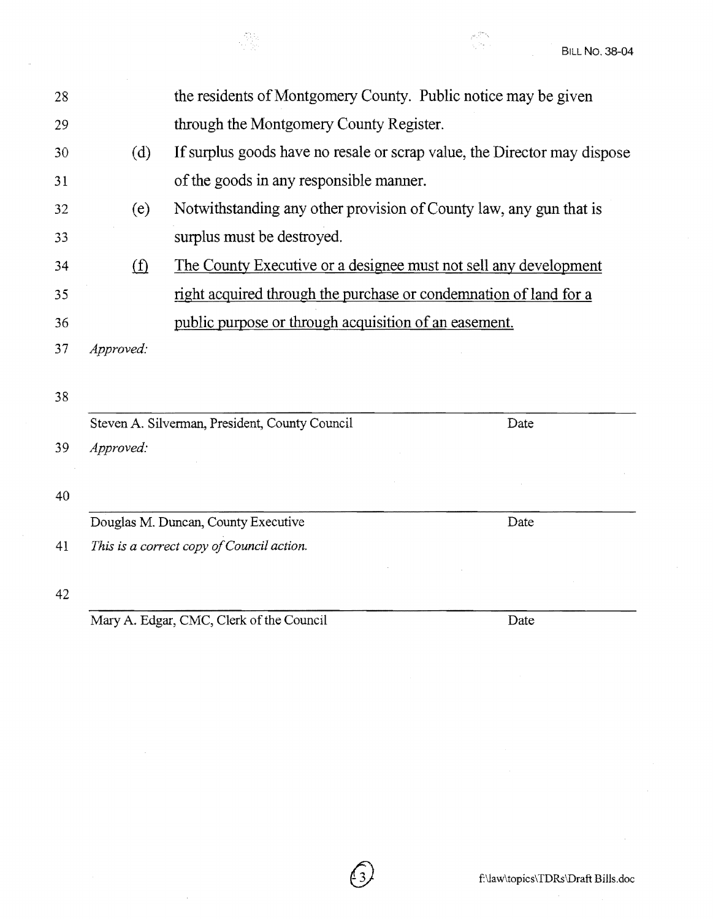Douglas M. Duncan, County Executive Date Date

*41 This is a correct copy ofCouncil action.* 

42

Mary A. Edgar, CMC, Clerk of the Council Date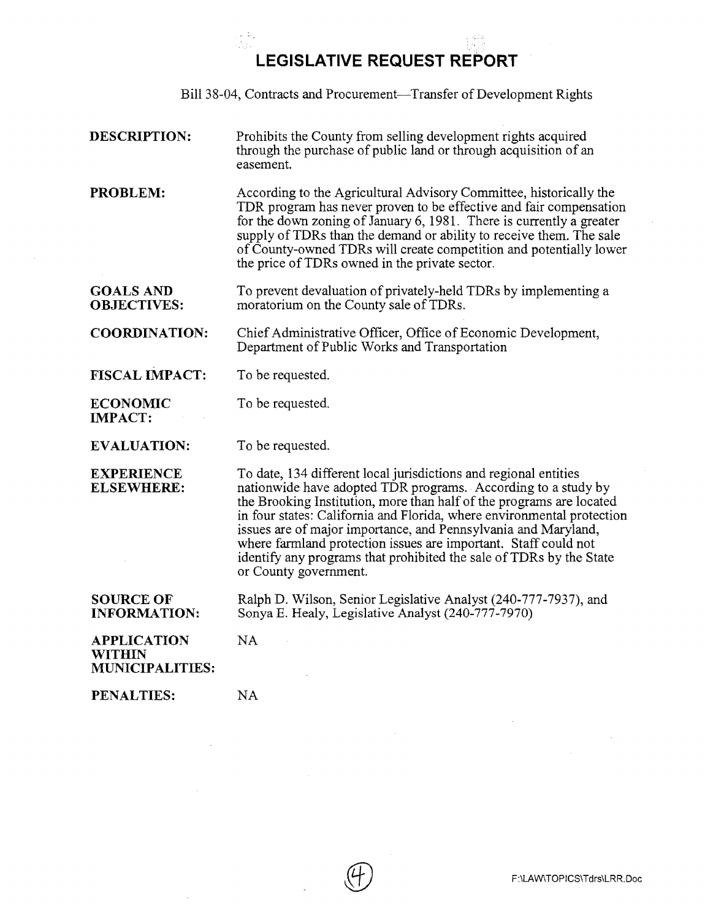**LEGISLATIVE REQUEST REPORT** 

Bill 38-04, Contracts and Procurement—Transfer of Development Rights

| <b>DESCRIPTION:</b> | Prohibits the County from selling development rights acquired    |
|---------------------|------------------------------------------------------------------|
|                     | through the purchase of public land or through acquisition of an |
|                     | easement.                                                        |

**PROBLEM:**  According to the Agricultural Advisory Committee, historically the TDR program has never proven to be effective and fair compensation for the down zoning of January 6, 1981. There is currently a greater supply of TDRs than the demand or ability to receive them. The sale of County-owned TDRs will create competition and potentially lower the price ofTDRs owned in the private sector.

**GOALS AND OBJECTIVES:**  To prevent devaluation of privately-held TDRs by implementing a moratorium on the County sale of TDRs.

**COORDINATION:**  Chief Administrative Officer, Office of Economic Development, Department of Public Works and Transportation

**FISCAL IMPACT:**  To be requested.

**ECONOMIC IMPACT:**  To be requested.

**EVALUATION:**  To be requested.

NA

**EXPERIENCE ELSEWHERE:**  To date, 134 different local jurisdictions and regional entities nationwide have adopted TDR programs. According to a study by the Brooking Institution, more than half of the programs are located in four states: California and Florida, where environmental protection issues are of major importance, and Pennsylvania and Maryland, where farmland protection issues are important. Staff could not identify any programs that prohibited the sale of TDRs by the State or County government.

**SOURCE OF INFORMATION:**  Ralph D. Wilson, Senior Legislative Analyst (240-777-7937), and Sonya E. Healy, Legislative Analyst (240-777-7970)

**APPLICATION WITHIN MUNICIPALITIES:** 

**PENALTIES: NA**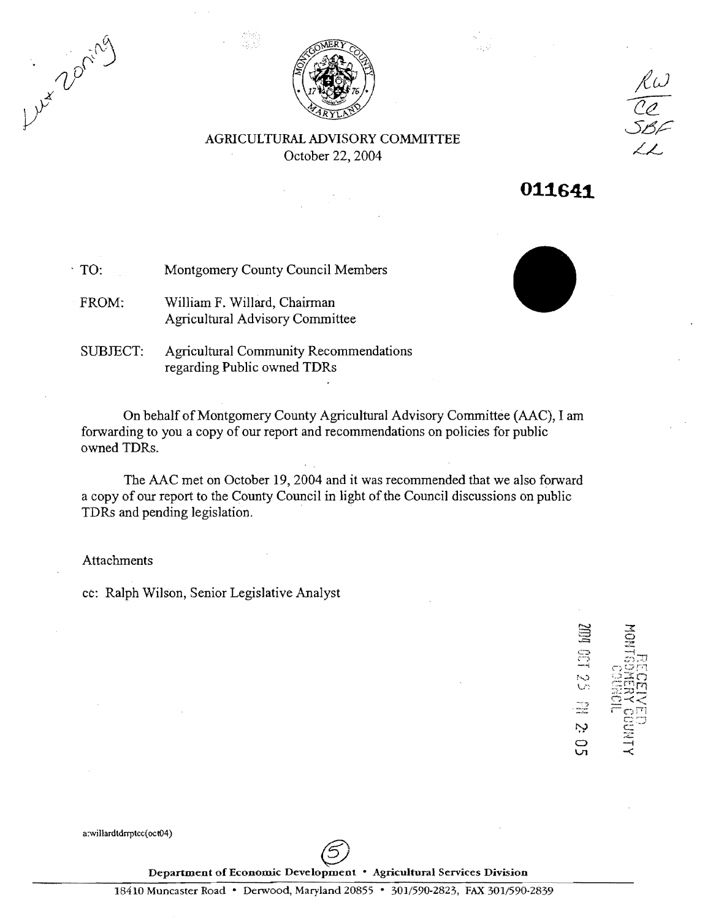Lux 200 ring



AGRICULTURAL ADVISORY COMMITTEE October 22, 2004



, TO: Montgomery County Council Members

FROM: William F. Willard, Chairman Agricultural Advisory Committee

SUBJECT: Agricultural Community Recommendations regarding Public owned TDRs

On behalf of Montgomery County Agricultural Advisory Committee (AAC), I am forwarding to you a copy of our report and recommendations on policies for public owned TDRs.

The AAC met on October 19,2004 and it was recommended that we also forward a copy of our report to the County Council in light of the Council discussions on public TDRs and pending legislation. .

Attachments

cc: Ralph Wilson, Senior Legislative Analyst

**SEC** 52139  $\prec$ 

Ņ င္ပ<br>ပ

a:willardtdrrptcc(oct04)

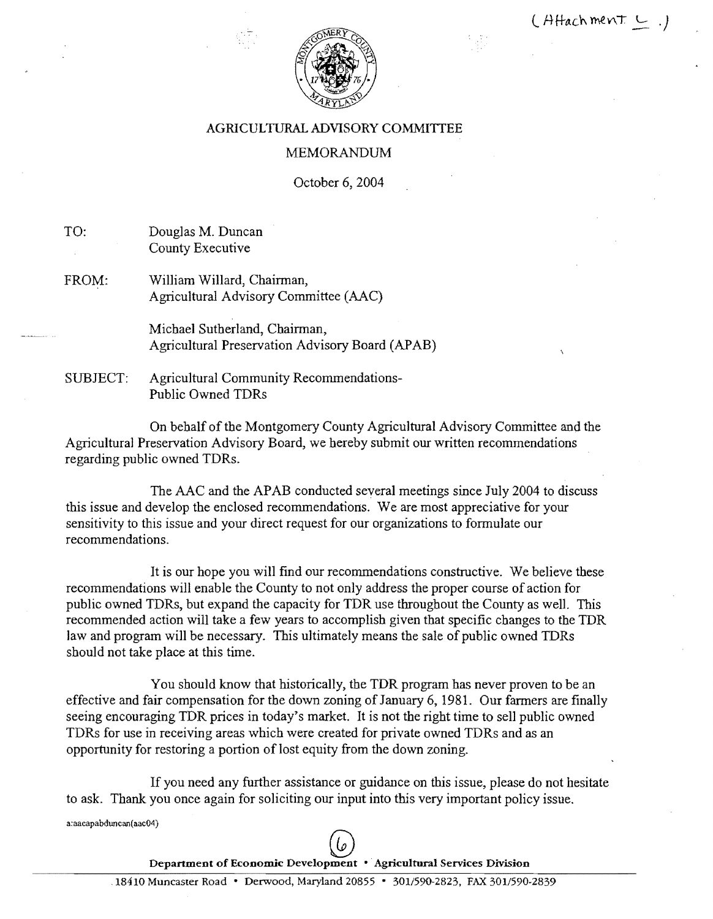

# AGRICULTURAL ADVISORY COMMITIEE

# MEMORANDUM

October 6, 2004

TO: Douglas M. Duncan County Executive

FROM: William Willard, Chairman, Agricultural Advisory Committee (AAC)

> Michael Sutherland, Chairman, Agricultural Preservation Advisory Board (APAB)

SUBJECT: Agricultural Community Recommendations-Public Owned TDRs

On behalf of the Montgomery County Agricultural Advisory Committee and the Agricultural Preservation Advisory Board, we hereby submit our written recommendations regarding public owned TDRs.

The AAC and the APAB conducted several meetings since July 2004 to discuss this issue and develop the enclosed recommendations. We are most appreciative for your sensitivity to this issue and your direct request for our organizations to formulate our recommendations.

It is our hope you will find our recommendations constructive. We believe these recommendations will enable the County to not only address the proper course of action for public owned TDRs, but expand the capacity for TDR use throughout the County as well. This recommended action will take a few years to accomplish given that specific changes to the TDR law and program will be necessary. This ultimately means the sale of public owned TDRs should not take place at this time.

You should know that historically, the TDR program has never proven to be an effective and fair compensation for the down zoning of January 6, 1981. Our farmers are finally seeing encouraging TDR prices in today's market. It is not the right time to sell public owned TDRs for use in receiving areas which were created for private owned TDRs and as an opportunity for restoring a portion of lost equity from the down zoning.

If you need any further assistance or guidance on this issue, please do not hesitate to ask. Thank you once again for soliciting our input into this very important policy issue.

a:aacapabduncan( aac04)

 $\mathfrak{c}_{\mathfrak{o}}$ Department of Economic Development • Agricultural Services Division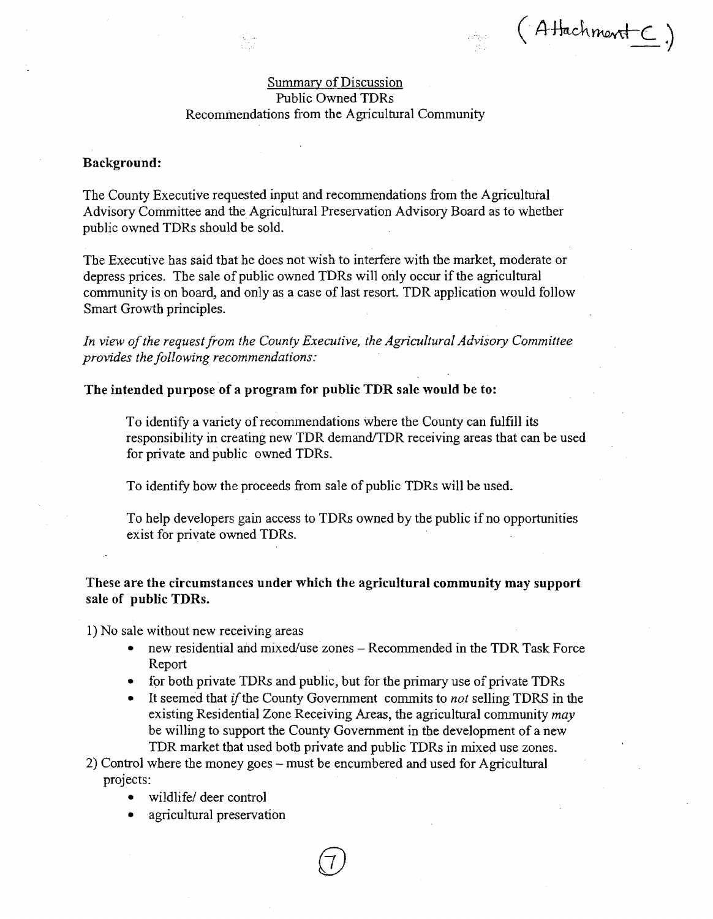(Attachment C)

## Summary of Discussion Public Owned TDRs Recommendations from the Agricultural Community

#### Background:

The County Executive requested input and recommendations from the Agricultural Advisory Committee and the Agricultural Preservation Advisory Board as to whether public owned TDRs should be sold.

The Executive has said that he does not wish to interfere with the market, moderate or depress prices. The sale of public owned TDRs will only occur if the agricultural community is on board, and only as a case of last resort. TDR application would follow Smart Growth principles.

In view of the request from the County Executive, the Agricultural Advisory Committee *provides the following recommendations:* 

#### The intended purpose of a program for public TDR sale would be to:

To identify a variety of recommendations where the County can fulfill its responsibility in creating new TDR demand/TDR receiving areas that can be used for private and public owned TDRs.

To identify how the proceeds from sale of public TDRs will be used.

To help developers gain access to TDRs owned by the public if no opportunities exist for private owned TDRs.

# These are the circumstances under which the agricultural community may support sale of public TDRs.

1) No sale without new receiving areas

- new residential and mixed/use zones  $-$  Recommended in the TDR Task Force Report
- for both private TDRs and public, but for the primary use of private TDRs
- It seemed that *if* the County Government commits to *not* selling TDRS in the existing Residential Zone Receiving Areas, the agricultural community *may*  be willing to support the County Government in the development of a new TDR market that used both private and public TDRs in mixed use zones.
- 2) Control where the money goes must be encumbered and used for Agricultural projects:
	- wildlife/ deer control
	- agricultural preservation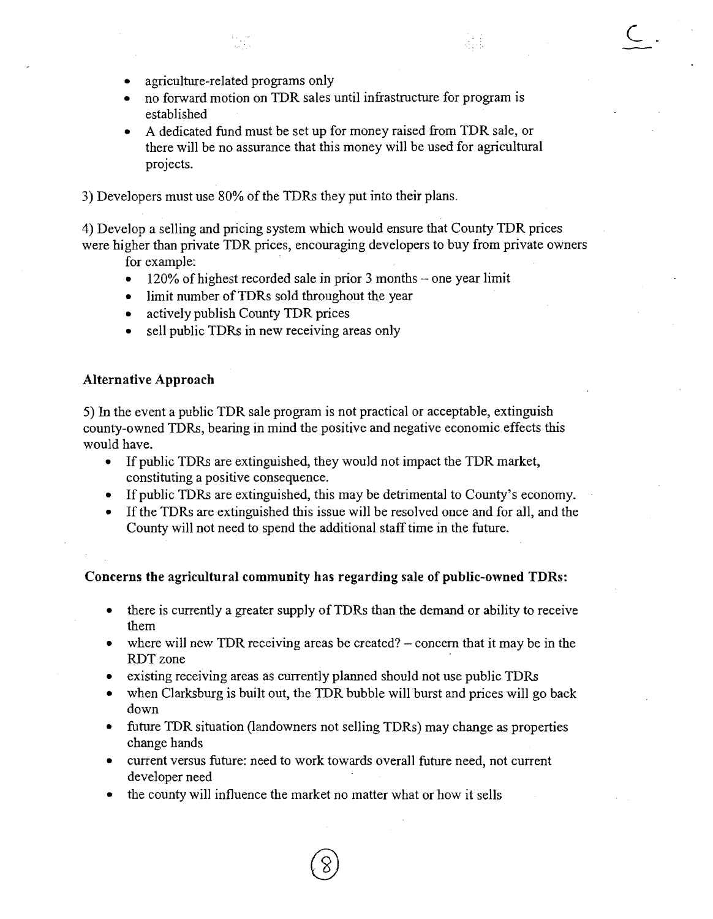$C$ .

- agriculture-related programs only
- no forward motion on TDR sales until infrastructure for program is established
- A dedicated fund must be set up for money raised from TDR sale, or there will be no assurance that this money will be used for agricultural projects.

3) Developers must use 80% of the TDRs they put into their plans.

4) Develop a selling and pricing system which would ensure that County TDR prices were higher than private TDR prices, encouraging developers to buy from private owners

for example:

- $\bullet$  120% of highest recorded sale in prior 3 months one year limit
- limit number of TDRs sold throughout the year
- actively publish County TDR prices
- sell public TDRs in new receiving areas only

## Alternative Approach

5) In the event a public TDR sale program is not practical or acceptable, extinguish county-owned TDRs, bearing in mind the positive and negative economic effects this would have.

- If public TDRs are extinguished, they would not impact the TDR market, constituting a positive consequence.
- If public TDRs are extinguished, this may be detrimental to County's economy.
- If the TDRs are extinguished this issue will be resolved once and for all, and the County will not need to spend the additional staff time in the future.

#### Concerns the agricultural community has regarding sale of public-owned TDRs:

- there is currently a greater supply of TDRs than the demand or ability to receive them
- where will new TDR receiving areas be created?  $-$  concern that it may be in the RDTzone
- existing receiving areas as currently planned should not use public TDRs
- when Clarksburg is built out, the TDR bubble will burst and prices will go back down
- future TDR situation (landowners not selling TDRs) may change as properties change hands
- current versus future: need to work towards overall future need, not current developer need
- the county will influence the market no matter what or how it sells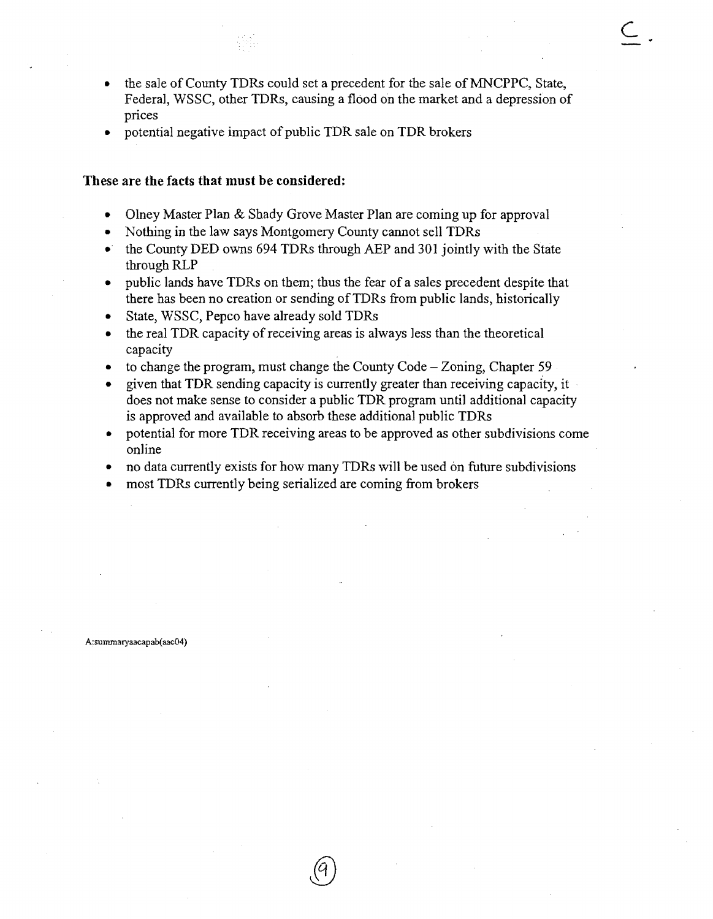- the sale of County TDRs could set a precedent for the sale of MNCPPC, State, Federal, WSSC, other TDRs, causing a flood on the market and a depression of prices
- potential negative impact of public TDR sale on TDR brokers

#### **These are the facts that must be considered:**

- Olney Master Plan & Shady Grove Master Plan are coming up for approval
- Nothing in the law says Montgomery County cannot sell TDRs
- the County DED owns 694 TDRs through AEP and 301 jointly with the State through RLP
- public lands have TDRs on them; thus the fear of a sales precedent despite that there has been no creation or sending ofTDRs from public lands, historically
- State, WSSC, Pepco have already sold TDRs
- $\bullet$  the real TDR capacity of receiving areas is always less than the theoretical capacity
- to change the program, must change the County Code  $-$  Zoning, Chapter 59
- given that TDR sending capacity is currently greater than receiving capacity, it does not make sense to consider a public TDR program until additional capacity is approved and available to absorb these additional public TDRs
- potential for more TDR receiving areas to be approved as other subdivisions come online
- no data currently exists for how many TDRs will be used on future subdivisions
- most TDRs currently being serialized are coming from brokers

A:summaryaacapab(aac04)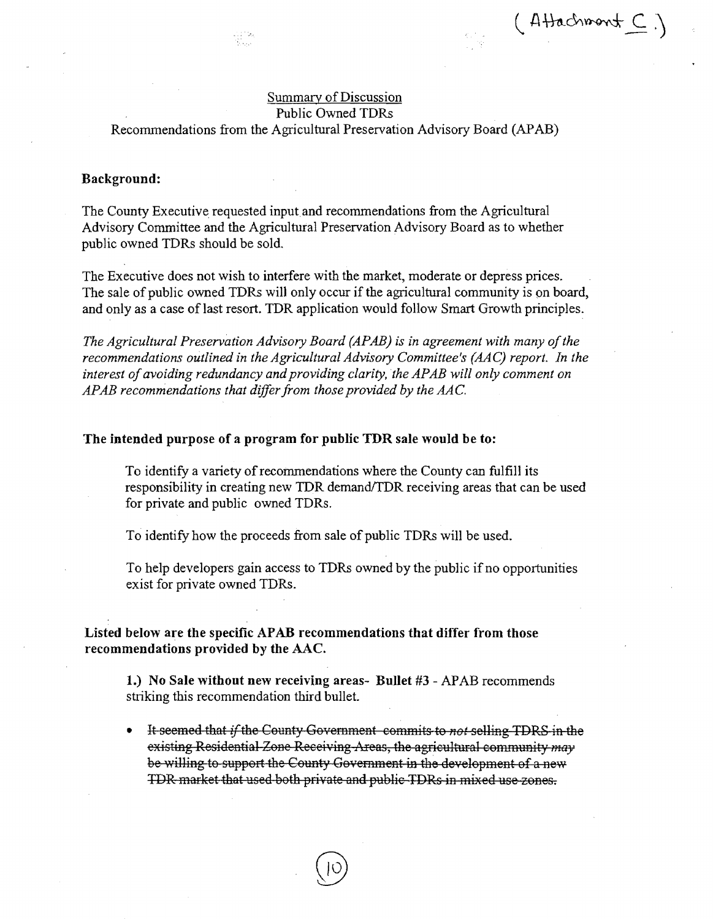$(AHachmont C)$ 

# Summary of Discussion Public Owned TDRs

# Recommendations from the Agricultural Preservation Advisory Board (APAB)

#### Background:

The County Executive requested input and recommendations from the Agricultural Advisory Committee and the Agricultural Preservation Advisory Board as to whether public owned TDRs should be sold.

The Executive does not wish to interfere with the market, moderate or depress prices. The sale of public owned TDRs will only occur if the agricultural community is on board, and only as a case of last resort. TDR application would follow Smart Growth principles.

*The Agricultural Preservation Advisory Board (APAB) is in agreement with many of the recommendations outlined in the Agricultural Advisory Committee's (AAC) report. In the*  interest of avoiding redundancy and providing clarity, the APAB will only comment on *APAB recommendations that differ from those provided by the AA* C.

#### The intended purpose of a program for public TDR sale would be to:

To identify a variety of recommendations where the County can fulfill its responsibility in creating new TDR demand/TDR receiving areas that can be used for private and public owned TDRs.

To identify how the proceeds from sale of public TDRs will be used.

To help developers gain access to TDRs owned by the public if no opportunities exist for private owned TDRs.

Listed below are the specific APAB recommendations that differ from those recommendations provided by the AAC.

1.) No Sale without new receiving areas- Bullet #3 - APAB recommends striking this recommendation third bullet.

• It seemed that ifthe County Government commits to *not* selling TDR8 in the existing Residential Zone Receiving Areas, the agricultural community *may* be willing to support the County Government in the development of a new TDR market that used both private and public TDRs in mixed use zones.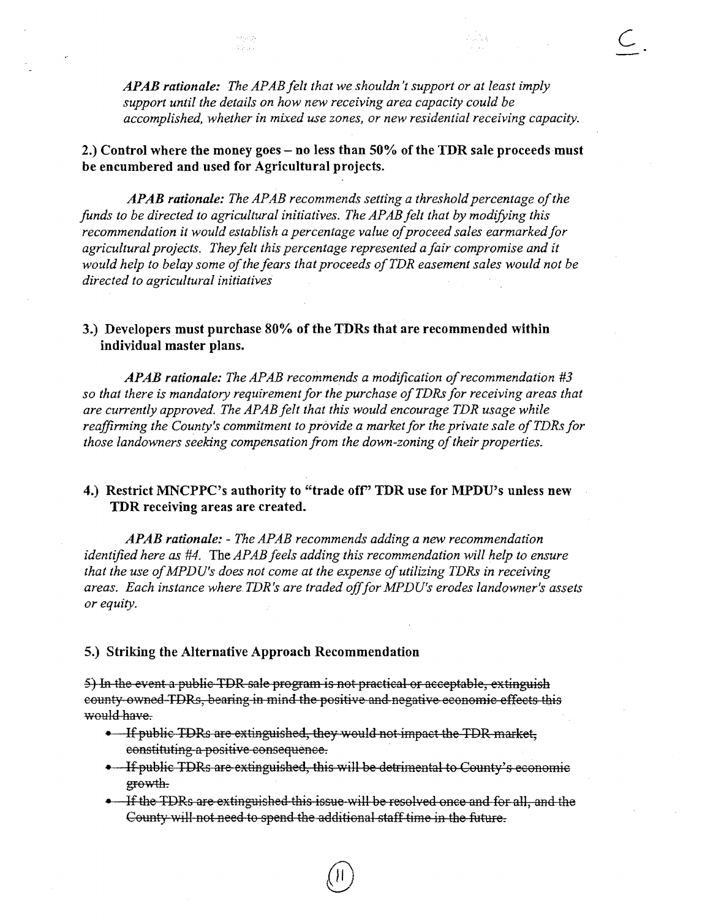*AP AB rationale: The AP AB felt that we shouldn't support or at least imply support until the details on how new receiving area capacity could be accomplished, whether in mixed use zones, or new residential receiving capacity.*   $\overline{C}$ 

# 2.) Control where the money goes - no less than 50% of the TDR sale proceeds must be encumbered and used for Agricultural projects.

4044

*APAB rationale: The APAB recommends setting a threshold percentage of the funds to be directed to agricultural initiatives. The APABfelt that* by *modifying this recommendation it would establish a percentage value of proceed sales earmarked for agricultural projects. They felt this percentage represented a fair compromise and it would help to belay some of the fears that proceeds of TDR easement sales would not be directed to agricultural initiatives* 

# 3.) Developers must purchase 80% of the TDRs that are recommended within individual master plans.

APAB rationale: The APAB recommends a modification of recommendation #3 *so that there is mandatory requirement for the purchase ofTDRs for receiving areas that are currently approved. The APAB felt that this would encourage TDR usage while*  reaffirming the County's commitment to provide a market for the private sale of TDRs for *those landowners seeking compensation from the down-zoning of their properties.* 

# 4.) Restrict MNCPPC's authority to "trade ofr' TDR use for MPDU's unless new TDR receiving areas are created.

*APAB rationale:* - *The APAB recommends adding a new recommendation identified here as #4.* The *APAB feels adding this recommendation will help to ensure that the use of MPDU's does not come at the expense of utilizing TDRs in receiving areas. Each instance where TDR's are traded offfor MPDU's erodes landowner's assets or equity.* 

#### 5.) Striking the Alternative Approach Recommendation

5) In the event a public TDR sale program is not practical or acceptable, extinguish county ovmed TDRs, bearing in mind the positive and negative economic effects this would have.

- If public TDRs are extinguished, they would not impact the TDR market, constituting a positive consequence.
- If public TDRs are extinguished, this will be detrimental to County's economic growth.
- If the TDRs are extinguished this issue will be resolved once and for all, and the County will not need to spend the additional staff time in the future.

 $\circledR$